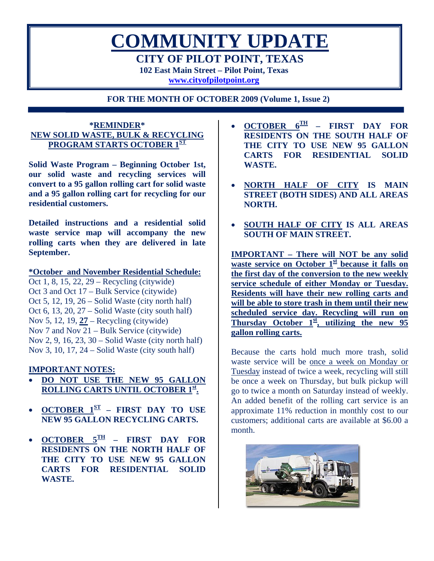**COMMUNITY UPDATE CITY OF PILOT POINT, TEXAS 102 East Main Street – Pilot Point, Texas** 

**[www.cityofpilotpoint.org](http://www.cityofpilotpoint.org/)**

**FOR THE MONTH OF OCTOBER 2009 (Volume 1, Issue 2)** 

## **\*REMINDER\* NEW SOLID WASTE, BULK & RECYCLING PROGRAM STARTS OCTOBER 1ST**

**Solid Waste Program – Beginning October 1st, our solid waste and recycling services will convert to a 95 gallon rolling cart for solid waste and a 95 gallon rolling cart for recycling for our residential customers.** 

**Detailed instructions and a residential solid waste service map will accompany the new rolling carts when they are delivered in late September.** 

#### **\*October and November Residential Schedule:**

Oct 1, 8, 15, 22, 29 – Recycling (citywide) Oct 3 and Oct 17 – Bulk Service (citywide) Oct 5, 12, 19, 26 – Solid Waste (city north half) Oct 6, 13, 20, 27 – Solid Waste (city south half) Nov 5, 12, 19, **27** – Recycling (citywide) Nov 7 and Nov 21 – Bulk Service (citywide) Nov 2, 9, 16, 23, 30 – Solid Waste (city north half) Nov 3, 10, 17, 24 – Solid Waste (city south half)

## **IMPORTANT NOTES:**

- **DO NOT USE THE NEW 95 GALLON ROLLING CARTS UNTIL OCTOBER 1st.**
- **OCTOBER 1ST FIRST DAY TO USE NEW 95 GALLON RECYCLING CARTS.**
- **OCTOBER 5TH FIRST DAY FOR RESIDENTS ON THE NORTH HALF OF THE CITY TO USE NEW 95 GALLON CARTS FOR RESIDENTIAL SOLID WASTE.**
- **OCTOBER 6TH FIRST DAY FOR RESIDENTS ON THE SOUTH HALF OF THE CITY TO USE NEW 95 GALLON CARTS FOR RESIDENTIAL SOLID WASTE.**
- **NORTH HALF OF CITY IS MAIN STREET (BOTH SIDES) AND ALL AREAS NORTH.**
- **SOUTH HALF OF CITY IS ALL AREAS SOUTH OF MAIN STREET.**

**IMPORTANT – There will NOT be any solid waste service on October 1st because it falls on the first day of the conversion to the new weekly service schedule of either Monday or Tuesday. Residents will have their new rolling carts and will be able to store trash in them until their new scheduled service day. Recycling will run on**  Thursday October 1<sup>st</sup>, utilizing the new 95 **gallon rolling carts.**

Because the carts hold much more trash, solid waste service will be once a week on Monday or Tuesday instead of twice a week, recycling will still be once a week on Thursday, but bulk pickup will go to twice a month on Saturday instead of weekly. An added benefit of the rolling cart service is an approximate 11% reduction in monthly cost to our customers; additional carts are available at \$6.00 a month.

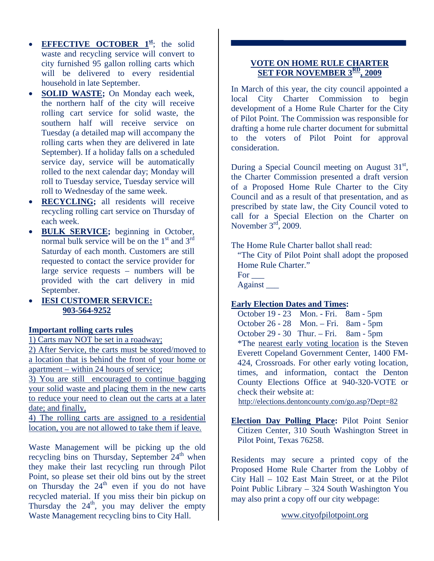- **EFFECTIVE OCTOBER**  $1^{\underline{\text{st}}}$ ; the solid waste and recycling service will convert to city furnished 95 gallon rolling carts which will be delivered to every residential household in late September.
- **SOLID WASTE;** On Monday each week, the northern half of the city will receive rolling cart service for solid waste, the southern half will receive service on Tuesday (a detailed map will accompany the rolling carts when they are delivered in late September). If a holiday falls on a scheduled service day, service will be automatically rolled to the next calendar day; Monday will roll to Tuesday service, Tuesday service will roll to Wednesday of the same week.
- **RECYCLING;** all residents will receive recycling rolling cart service on Thursday of each week.
- **BULK SERVICE;** beginning in October, normal bulk service will be on the  $1<sup>st</sup>$  and  $3<sup>rd</sup>$ Saturday of each month. Customers are still requested to contact the service provider for large service requests – numbers will be provided with the cart delivery in mid September.
- **IESI CUSTOMER SERVICE: 903-564-9252**

#### **Important rolling carts rules**

1) Carts may NOT be set in a roadway;

2) After Service, the carts must be stored/moved to a location that is behind the front of your home or apartment – within 24 hours of service;

3) You are still encouraged to continue bagging your solid waste and placing them in the new carts to reduce your need to clean out the carts at a later date; and finally,

4) The rolling carts are assigned to a residential location, you are not allowed to take them if leave.

Waste Management will be picking up the old recycling bins on Thursday, September  $24<sup>th</sup>$  when they make their last recycling run through Pilot Point, so please set their old bins out by the street on Thursday the  $24<sup>th</sup>$  even if you do not have recycled material. If you miss their bin pickup on Thursday the  $24<sup>th</sup>$ , you may deliver the empty Waste Management recycling bins to City Hall.

## **VOTE ON HOME RULE CHARTER SET FOR NOVEMBER 3RD, 2009**

In March of this year, the city council appointed a local City Charter Commission to begin development of a Home Rule Charter for the City of Pilot Point. The Commission was responsible for drafting a home rule charter document for submittal to the voters of Pilot Point for approval consideration.

During a Special Council meeting on August  $31<sup>st</sup>$ , the Charter Commission presented a draft version of a Proposed Home Rule Charter to the City Council and as a result of that presentation, and as prescribed by state law, the City Council voted to call for a Special Election on the Charter on November  $3<sup>rd</sup>$ , 2009.

The Home Rule Charter ballot shall read:

"The City of Pilot Point shall adopt the proposed Home Rule Charter." For  $\qquad$ Against \_\_\_

**Early Election Dates and Times:** 

 October 19 - 23 Mon. - Fri. 8am - 5pm October 26 - 28 Mon. – Fri. 8am - 5pm October 29 - 30 Thur. – Fri. 8am - 5pm \*The nearest early voting location is the Steven Everett Copeland Government Center, 1400 FM-424, Crossroads. For other early voting location, times, and information, contact the Denton County Elections Office at 940-320-VOTE or check their website at:

http://elections.dentoncounty.com/go.asp?Dept=82

**Election Day Polling Place:** Pilot Point Senior Citizen Center, 310 South Washington Street in Pilot Point, Texas 76258.

Residents may secure a printed copy of the Proposed Home Rule Charter from the Lobby of City Hall – 102 East Main Street, or at the Pilot Point Public Library – 324 South Washington You may also print a copy off our city webpage:

www.cityofpilotpoint.org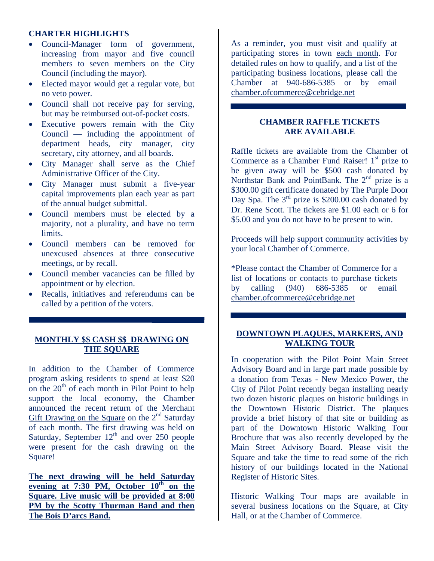#### **CHARTER HIGHLIGHTS**

- Council-Manager form of government, increasing from mayor and five council members to seven members on the City Council (including the mayor).
- Elected mayor would get a regular vote, but no veto power.
- Council shall not receive pay for serving, but may be reimbursed out-of-pocket costs.
- Executive powers remain with the City Council — including the appointment of department heads, city manager, city secretary, city attorney, and all boards.
- City Manager shall serve as the Chief Administrative Officer of the City.
- City Manager must submit a five-year capital improvements plan each year as part of the annual budget submittal.
- Council members must be elected by a majority, not a plurality, and have no term limits.
- Council members can be removed for unexcused absences at three consecutive meetings, or by recall.
- Council member vacancies can be filled by appointment or by election.
- Recalls, initiatives and referendums can be called by a petition of the voters.

## **MONTHLY \$\$ CASH \$\$ DRAWING ON THE SQUARE**

In addition to the Chamber of Commerce program asking residents to spend at least \$20 on the  $20<sup>th</sup>$  of each month in Pilot Point to help support the local economy, the Chamber announced the recent return of the Merchant Gift Drawing on the Square on the 2<sup>nd</sup> Saturday of each month. The first drawing was held on Saturday, September  $12<sup>th</sup>$  and over 250 people were present for the cash drawing on the Square!

**The next drawing will be held Saturday evening at 7:30 PM, October 10th on the Square. Live music will be provided at 8:00 PM by the Scotty Thurman Band and then The Bois D'arcs Band.**

As a reminder, you must visit and qualify at participating stores in town each month. For detailed rules on how to qualify, and a list of the participating business locations, please call the Chamber at 940-686-5385 or by email [chamber.ofcommerce@cebridge.net](mailto:chamber.ofcommerce@cebridge.net)

## **CHAMBER RAFFLE TICKETS ARE AVAILABLE**

Raffle tickets are available from the Chamber of Commerce as a Chamber Fund Raiser!  $1<sup>st</sup>$  prize to be given away will be \$500 cash donated by Northstar Bank and PointBank. The 2<sup>nd</sup> prize is a \$300.00 gift certificate donated by The Purple Door Day Spa. The  $3<sup>rd</sup>$  prize is \$200.00 cash donated by Dr. Rene Scott. The tickets are \$1.00 each or 6 for \$5.00 and you do not have to be present to win.

Proceeds will help support community activities by your local Chamber of Commerce.

\*Please contact the Chamber of Commerce for a list of locations or contacts to purchase tickets by calling (940) 686-5385 or email [chamber.ofcommerce@cebridge.net](mailto:chamber.ofcommerce@cebridge.net)

## **DOWNTOWN PLAQUES, MARKERS, AND WALKING TOUR**

In cooperation with the Pilot Point Main Street Advisory Board and in large part made possible by a donation from Texas - New Mexico Power, the City of Pilot Point recently began installing nearly two dozen historic plaques on historic buildings in the Downtown Historic District. The plaques provide a brief history of that site or building as part of the Downtown Historic Walking Tour Brochure that was also recently developed by the Main Street Advisory Board. Please visit the Square and take the time to read some of the rich history of our buildings located in the National Register of Historic Sites.

Historic Walking Tour maps are available in several business locations on the Square, at City Hall, or at the Chamber of Commerce.